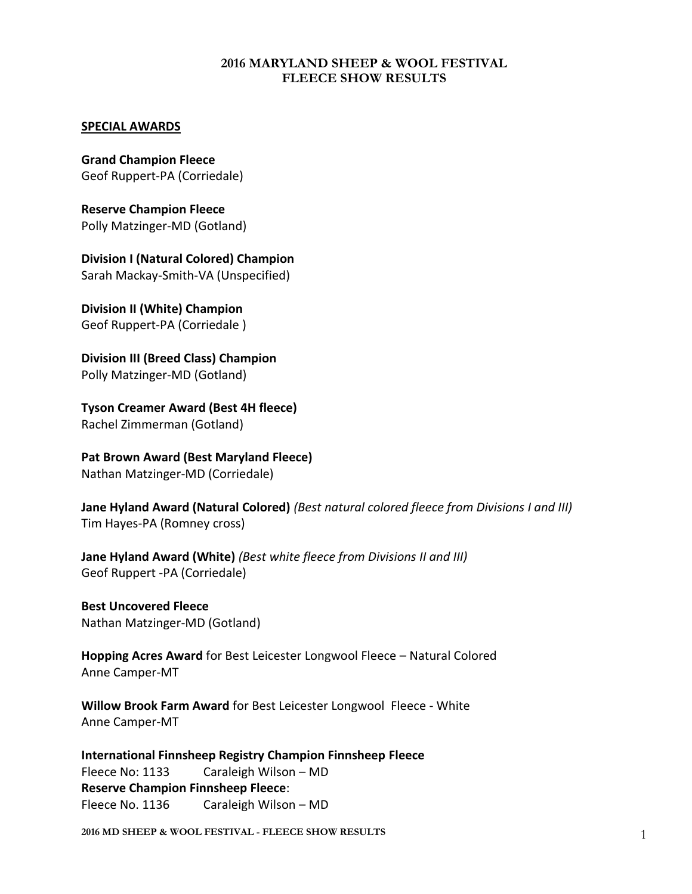#### **2016 MARYLAND SHEEP & WOOL FESTIVAL FLEECE SHOW RESULTS**

#### **SPECIAL AWARDS**

**Grand Champion Fleece** Geof Ruppert-PA (Corriedale)

**Reserve Champion Fleece** Polly Matzinger-MD (Gotland)

**Division I (Natural Colored) Champion** Sarah Mackay-Smith-VA (Unspecified)

**Division II (White) Champion** Geof Ruppert-PA (Corriedale )

**Division III (Breed Class) Champion** Polly Matzinger-MD (Gotland)

**Tyson Creamer Award (Best 4H fleece)** Rachel Zimmerman (Gotland)

**Pat Brown Award (Best Maryland Fleece)** Nathan Matzinger-MD (Corriedale)

**Jane Hyland Award (Natural Colored)** *(Best natural colored fleece from Divisions I and III)* Tim Hayes-PA (Romney cross)

**Jane Hyland Award (White)** *(Best white fleece from Divisions II and III)* Geof Ruppert -PA (Corriedale)

**Best Uncovered Fleece**  Nathan Matzinger-MD (Gotland)

**Hopping Acres Award** for Best Leicester Longwool Fleece – Natural Colored Anne Camper-MT

**Willow Brook Farm Award** for Best Leicester Longwool Fleece - White Anne Camper-MT

**International Finnsheep Registry Champion Finnsheep Fleece** Fleece No: 1133 Caraleigh Wilson – MD **Reserve Champion Finnsheep Fleece**: Fleece No. 1136 Caraleigh Wilson – MD

**2016 MD SHEEP & WOOL FESTIVAL - FLEECE SHOW RESULTS** 1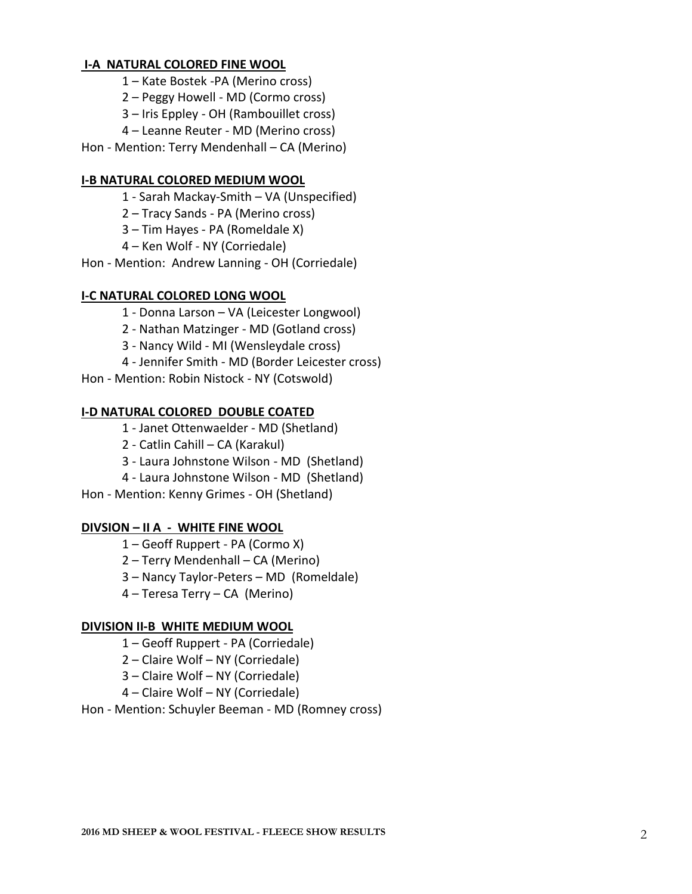### **I-A NATURAL COLORED FINE WOOL**

- Kate Bostek -PA (Merino cross)
- Peggy Howell MD (Cormo cross)
- Iris Eppley OH (Rambouillet cross)
- Leanne Reuter MD (Merino cross)
- Hon Mention: Terry Mendenhall CA (Merino)

### **I-B NATURAL COLORED MEDIUM WOOL**

- Sarah Mackay-Smith VA (Unspecified)
- Tracy Sands PA (Merino cross)
- Tim Hayes PA (Romeldale X)
- Ken Wolf NY (Corriedale)
- Hon Mention: Andrew Lanning OH (Corriedale)

#### **I-C NATURAL COLORED LONG WOOL**

- Donna Larson VA (Leicester Longwool)
- Nathan Matzinger MD (Gotland cross)
- Nancy Wild MI (Wensleydale cross)
- Jennifer Smith MD (Border Leicester cross)
- Hon Mention: Robin Nistock NY (Cotswold)

#### **I-D NATURAL COLORED DOUBLE COATED**

- Janet Ottenwaelder MD (Shetland)
- Catlin Cahill CA (Karakul)
- Laura Johnstone Wilson MD (Shetland)
- Laura Johnstone Wilson MD (Shetland)
- Hon Mention: Kenny Grimes OH (Shetland)

#### **DIVSION – II A - WHITE FINE WOOL**

- Geoff Ruppert PA (Cormo X)
- Terry Mendenhall CA (Merino)
- Nancy Taylor-Peters MD (Romeldale)
- Teresa Terry CA (Merino)

#### **DIVISION II-B WHITE MEDIUM WOOL**

- Geoff Ruppert PA (Corriedale)
- Claire Wolf NY (Corriedale)
- Claire Wolf NY (Corriedale)
- Claire Wolf NY (Corriedale)

#### Hon - Mention: Schuyler Beeman - MD (Romney cross)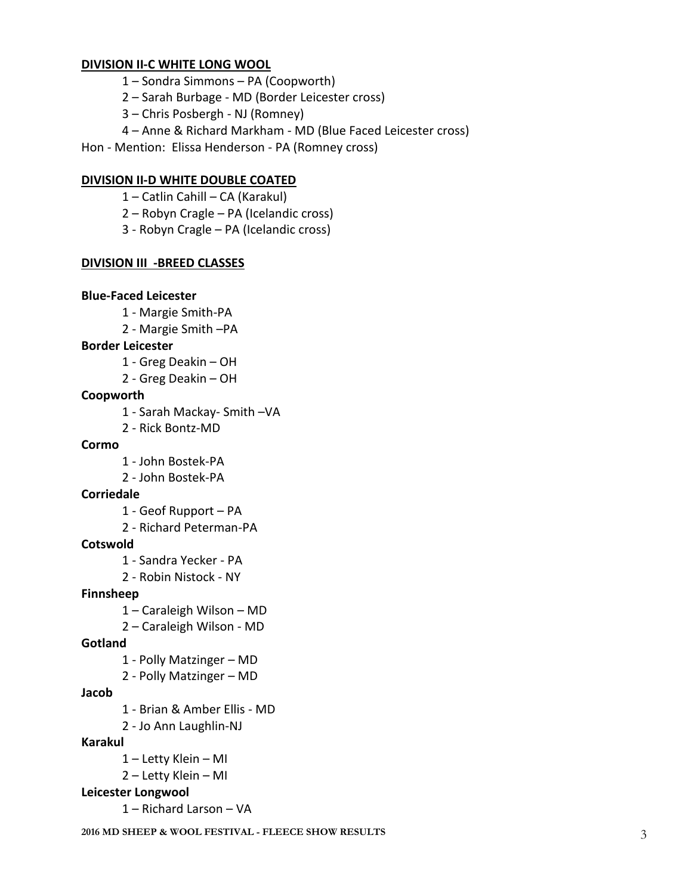#### **DIVISION II-C WHITE LONG WOOL**

- Sondra Simmons PA (Coopworth)
- Sarah Burbage MD (Border Leicester cross)
- Chris Posbergh NJ (Romney)
- Anne & Richard Markham MD (Blue Faced Leicester cross)

Hon - Mention: Elissa Henderson - PA (Romney cross)

### **DIVISION II-D WHITE DOUBLE COATED**

- Catlin Cahill CA (Karakul)
- Robyn Cragle PA (Icelandic cross)
- Robyn Cragle PA (Icelandic cross)

### **DIVISION III -BREED CLASSES**

#### **Blue-Faced Leicester**

- Margie Smith-PA
- 2 Margie Smith –PA

## **Border Leicester**

- Greg Deakin OH
- Greg Deakin OH

#### **Coopworth**

- Sarah Mackay- Smith –VA
- Rick Bontz-MD

#### **Cormo**

- John Bostek-PA
- John Bostek-PA

## **Corriedale**

- Geof Rupport PA
- Richard Peterman-PA

#### **Cotswold**

- Sandra Yecker PA
- Robin Nistock NY

## **Finnsheep**

- Caraleigh Wilson MD
- Caraleigh Wilson MD

## **Gotland**

- Polly Matzinger MD
- Polly Matzinger MD

#### **Jacob**

- Brian & Amber Ellis MD
- Jo Ann Laughlin-NJ

#### **Karakul**

- Letty Klein MI
- Letty Klein MI
- **Leicester Longwool** 
	- Richard Larson VA